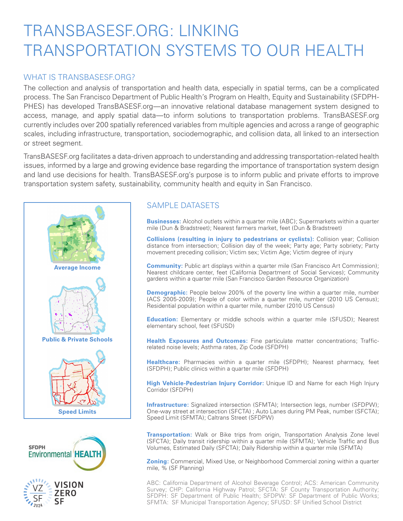# TRANSBASESF.ORG: LINKING TRANSPORTATION SYSTEMS TO OUR HEALTH

#### WHAT IS TRANSBASESE ORG?

The collection and analysis of transportation and health data, especially in spatial terms, can be a complicated process. The San Francisco Department of Public Health's Program on Health, Equity and Sustainability (SFDPH-PHES) has developed TransBASESF.org—an innovative relational database management system designed to access, manage, and apply spatial data—to inform solutions to transportation problems. TransBASESF.org currently includes over 200 spatially referenced variables from multiple agencies and across a range of geographic scales, including infrastructure, transportation, sociodemographic, and collision data, all linked to an intersection or street segment.

TransBASESF.org facilitates a data-driven approach to understanding and addressing transportation-related health issues, informed by a large and growing evidence base regarding the importance of transportation system design and land use decisions for health. TransBASESF.org's purpose is to inform public and private efforts to improve transportation system safety, sustainability, community health and equity in San Francisco.





# **ZERO**

#### SAMPLE DATASETS

**Businesses:** Alcohol outlets within a quarter mile (ABC); Supermarkets within a quarter mile (Dun & Bradstreet); Nearest farmers market, feet (Dun & Bradstreet)

**Collisions (resulting in injury to pedestrians or cyclists):** Collision year; Collision distance from intersection; Collision day of the week; Party age; Party sobriety; Party movement preceding collision; Victim sex; Victim Age; Victim degree of injury

**Community:** Public art displays within a quarter mile (San Francisco Art Commission); Nearest childcare center, feet (California Department of Social Services); Community gardens within a quarter mile (San Francisco Garden Resource Organization)

**Demographic:** People below 200% of the poverty line within a quarter mile, number (ACS 2005-2009); People of color within a quarter mile, number (2010 US Census); Residential population within a quarter mile, number (2010 US Census)

**Education:** Elementary or middle schools within a quarter mile (SFUSD); Nearest elementary school, feet (SFUSD)

**Health Exposures and Outcomes:** Fine particulate matter concentrations; Trafficrelated noise levels; Asthma rates, Zip Code (SFDPH)

**Healthcare:** Pharmacies within a quarter mile (SFDPH); Nearest pharmacy, feet (SFDPH); Public clinics within a quarter mile (SFDPH)

**High Vehicle-Pedestrian Injury Corridor:** Unique ID and Name for each High Injury Corridor (SFDPH)

**Infrastructure:** Signalized intersection (SFMTA); Intersection legs, number (SFDPW); One-way street at intersection (SFCTA) ; Auto Lanes during PM Peak, number (SFCTA); Speed Limit (SFMTA); Caltrans Street (SFDPW)

**Transportation:** Walk or Bike trips from origin, Transportation Analysis Zone level (SFCTA); Daily transit ridership within a quarter mile (SFMTA); Vehicle Traffic and Bus Volumes, Estimated Daily (SFCTA); Daily Ridership within a quarter mile (SFMTA)

**Zoning:** Commercial, Mixed Use, or Neighborhood Commercial zoning within a quarter mile, % (SF Planning)

ABC: California Department of Alcohol Beverage Control; ACS: American Community Survey; CHP: California Highway Patrol; SFCTA: SF County Transportation Authority; SFDPH: SF Department of Public Health; SFDPW: SF Department of Public Works; SFMTA: SF Municipal Transportation Agency; SFUSD: SF Unified School District